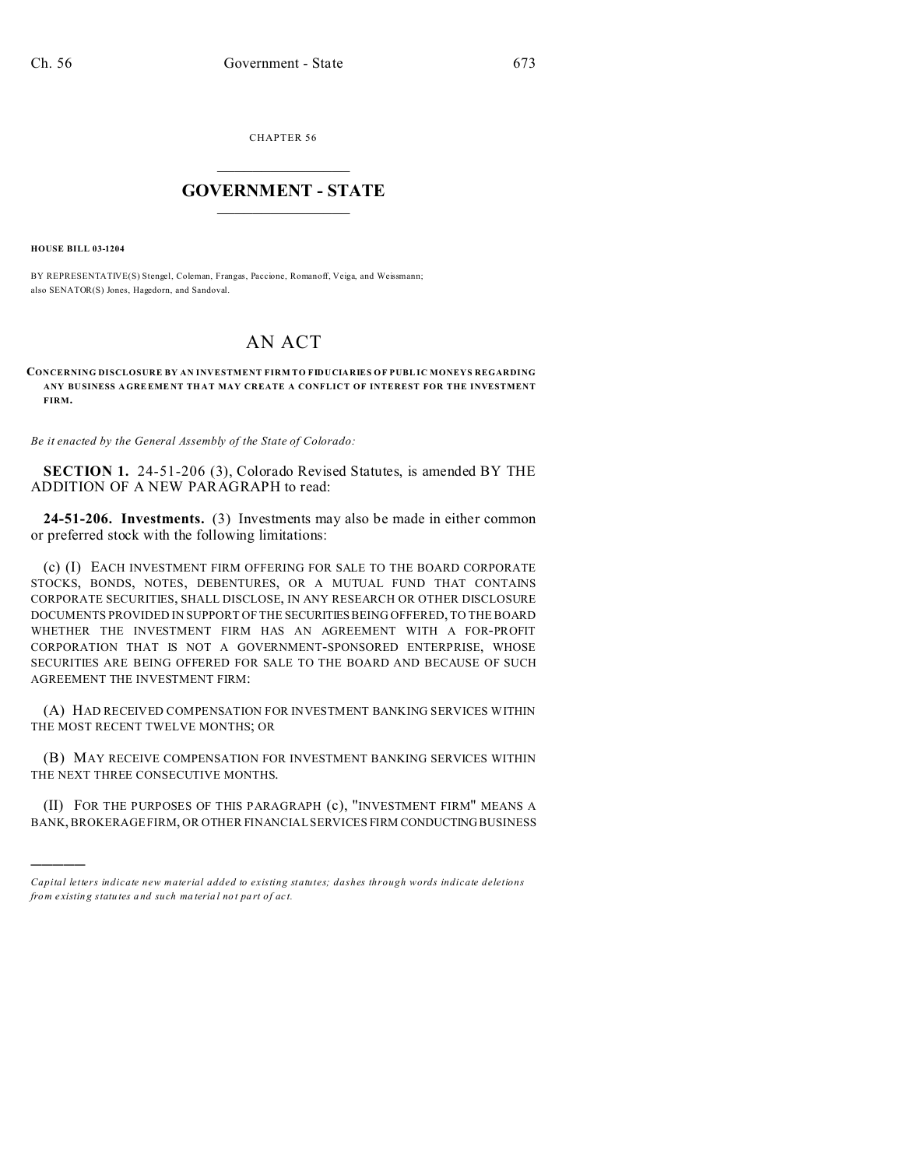CHAPTER 56  $\overline{\phantom{a}}$  , where  $\overline{\phantom{a}}$ 

## **GOVERNMENT - STATE**  $\_$   $\_$

**HOUSE BILL 03-1204**

)))))

BY REPRESENTATIVE(S) Stengel, Coleman, Frangas, Paccione, Romanoff, Veiga, and Weissmann; also SENATOR(S) Jones, Hagedorn, and Sandoval.

## AN ACT

## **CONCERNING DISCLOSURE BY AN INVESTMENT FIRM TO FIDUCIARIES OF PUBL IC MONEYS REGARDING ANY BU SINESS AGREEME NT TH AT MAY CREATE A CONFLICT OF INTEREST FOR THE INVESTMENT FIRM.**

*Be it enacted by the General Assembly of the State of Colorado:*

**SECTION 1.** 24-51-206 (3), Colorado Revised Statutes, is amended BY THE ADDITION OF A NEW PARAGRAPH to read:

**24-51-206. Investments.** (3) Investments may also be made in either common or preferred stock with the following limitations:

(c) (I) EACH INVESTMENT FIRM OFFERING FOR SALE TO THE BOARD CORPORATE STOCKS, BONDS, NOTES, DEBENTURES, OR A MUTUAL FUND THAT CONTAINS CORPORATE SECURITIES, SHALL DISCLOSE, IN ANY RESEARCH OR OTHER DISCLOSURE DOCUMENTS PROVIDED IN SUPPORT OF THE SECURITIES BEING OFFERED, TO THE BOARD WHETHER THE INVESTMENT FIRM HAS AN AGREEMENT WITH A FOR-PROFIT CORPORATION THAT IS NOT A GOVERNMENT-SPONSORED ENTERPRISE, WHOSE SECURITIES ARE BEING OFFERED FOR SALE TO THE BOARD AND BECAUSE OF SUCH AGREEMENT THE INVESTMENT FIRM:

(A) HAD RECEIVED COMPENSATION FOR INVESTMENT BANKING SERVICES WITHIN THE MOST RECENT TWELVE MONTHS; OR

(B) MAY RECEIVE COMPENSATION FOR INVESTMENT BANKING SERVICES WITHIN THE NEXT THREE CONSECUTIVE MONTHS.

(II) FOR THE PURPOSES OF THIS PARAGRAPH (c), "INVESTMENT FIRM" MEANS A BANK, BROKERAGE FIRM, OR OTHER FINANCIAL SERVICES FIRM CONDUCTING BUSINESS

*Capital letters indicate new material added to existing statutes; dashes through words indicate deletions from e xistin g statu tes a nd such ma teria l no t pa rt of ac t.*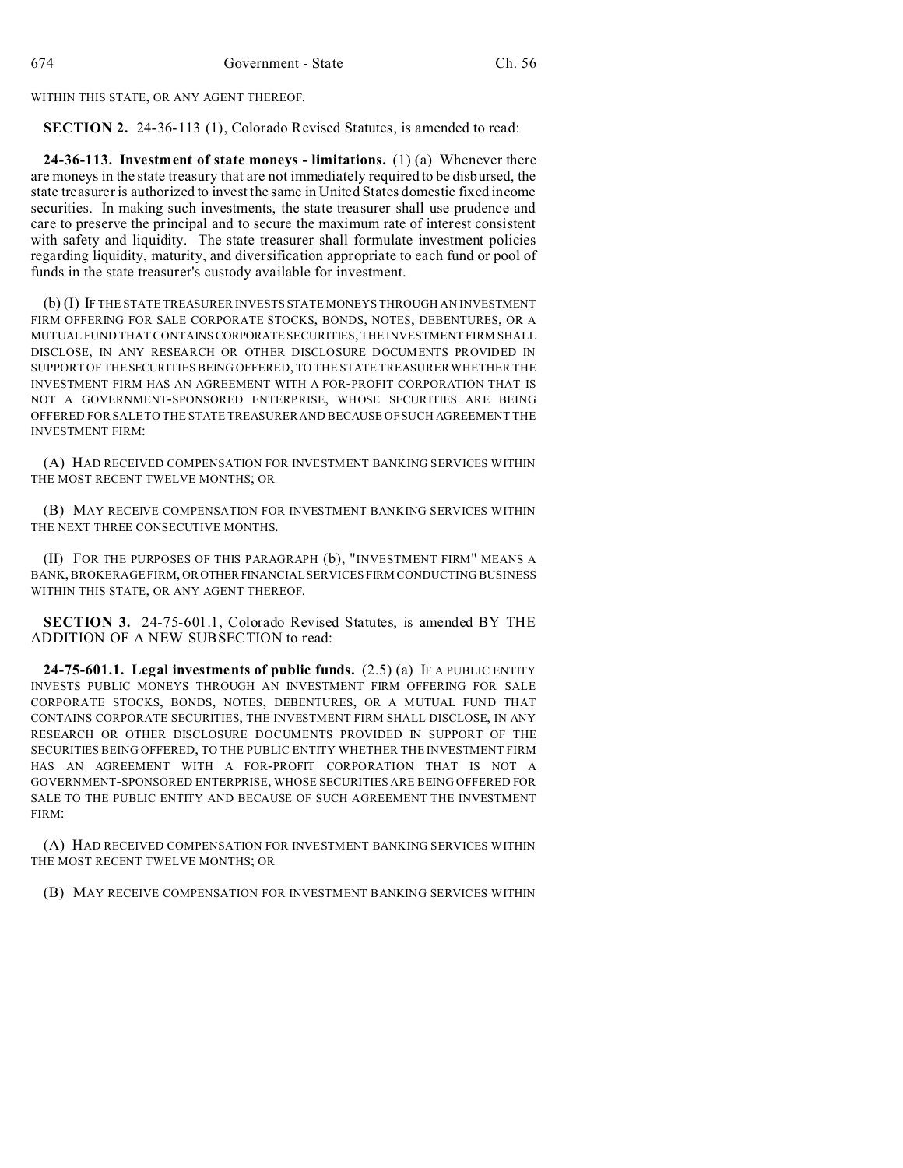WITHIN THIS STATE, OR ANY AGENT THEREOF.

**SECTION 2.** 24-36-113 (1), Colorado Revised Statutes, is amended to read:

**24-36-113. Investment of state moneys - limitations.** (1) (a) Whenever there are moneys in the state treasury that are not immediately required to be disbursed, the state treasurer is authorized to invest the same in United States domestic fixed income securities. In making such investments, the state treasurer shall use prudence and care to preserve the principal and to secure the maximum rate of interest consistent with safety and liquidity. The state treasurer shall formulate investment policies regarding liquidity, maturity, and diversification appropriate to each fund or pool of funds in the state treasurer's custody available for investment.

(b) (I) IF THE STATE TREASURER INVESTS STATE MONEYS THROUGH AN INVESTMENT FIRM OFFERING FOR SALE CORPORATE STOCKS, BONDS, NOTES, DEBENTURES, OR A MUTUAL FUND THAT CONTAINS CORPORATE SECURITIES, THE INVESTMENT FIRM SHALL DISCLOSE, IN ANY RESEARCH OR OTHER DISCLOSURE DOCUMENTS PROVIDED IN SUPPORT OF THESECURITIES BEING OFFERED, TO THE STATE TREASURER WHETHER THE INVESTMENT FIRM HAS AN AGREEMENT WITH A FOR-PROFIT CORPORATION THAT IS NOT A GOVERNMENT-SPONSORED ENTERPRISE, WHOSE SECURITIES ARE BEING OFFERED FOR SALE TO THE STATE TREASURER AND BECAUSE OF SUCH AGREEMENT THE INVESTMENT FIRM:

(A) HAD RECEIVED COMPENSATION FOR INVESTMENT BANKING SERVICES WITHIN THE MOST RECENT TWELVE MONTHS; OR

(B) MAY RECEIVE COMPENSATION FOR INVESTMENT BANKING SERVICES WITHIN THE NEXT THREE CONSECUTIVE MONTHS.

(II) FOR THE PURPOSES OF THIS PARAGRAPH (b), "INVESTMENT FIRM" MEANS A BANK, BROKERAGE FIRM, OR OTHERFINANCIAL SERVICES FIRM CONDUCTING BUSINESS WITHIN THIS STATE, OR ANY AGENT THEREOF.

**SECTION 3.** 24-75-601.1, Colorado Revised Statutes, is amended BY THE ADDITION OF A NEW SUBSECTION to read:

**24-75-601.1. Legal investments of public funds.** (2.5) (a) IF A PUBLIC ENTITY INVESTS PUBLIC MONEYS THROUGH AN INVESTMENT FIRM OFFERING FOR SALE CORPORATE STOCKS, BONDS, NOTES, DEBENTURES, OR A MUTUAL FUND THAT CONTAINS CORPORATE SECURITIES, THE INVESTMENT FIRM SHALL DISCLOSE, IN ANY RESEARCH OR OTHER DISCLOSURE DOCUMENTS PROVIDED IN SUPPORT OF THE SECURITIES BEING OFFERED, TO THE PUBLIC ENTITY WHETHER THE INVESTMENT FIRM HAS AN AGREEMENT WITH A FOR-PROFIT CORPORATION THAT IS NOT A GOVERNMENT-SPONSORED ENTERPRISE, WHOSE SECURITIES ARE BEING OFFERED FOR SALE TO THE PUBLIC ENTITY AND BECAUSE OF SUCH AGREEMENT THE INVESTMENT FIRM:

(A) HAD RECEIVED COMPENSATION FOR INVESTMENT BANKING SERVICES WITHIN THE MOST RECENT TWELVE MONTHS; OR

(B) MAY RECEIVE COMPENSATION FOR INVESTMENT BANKING SERVICES WITHIN